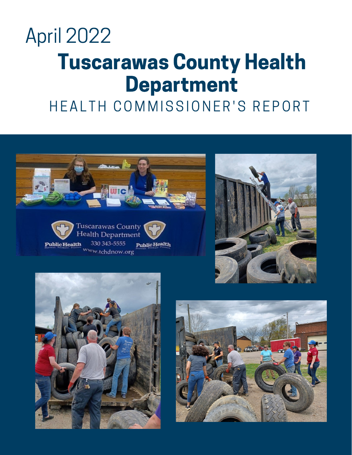### Tuscarawas County Health Department April 2022

### HEALTH COMMISSIONER'S REPORT









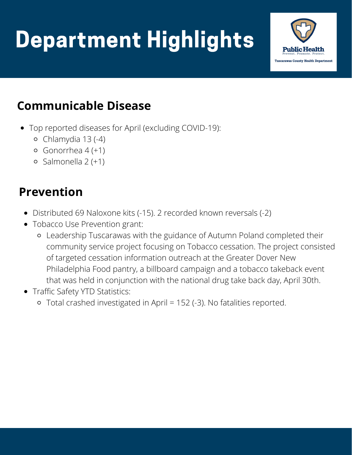# Department Highlights



#### **Communicable Disease**

- Top reported diseases for April (excluding COVID-19):
	- Chlamydia 13 (-4)
	- $\circ$  Gonorrhea 4 (+1)
	- $\circ$  Salmonella 2 (+1)

#### **Prevention**

- Distributed 69 Naloxone kits (-15). 2 recorded known reversals (-2)
- Tobacco Use Prevention grant:
	- Leadership Tuscarawas with the guidance of Autumn Poland completed their community service project focusing on Tobacco cessation. The project consisted of targeted cessation information outreach at the Greater Dover New Philadelphia Food pantry, a billboard campaign and a tobacco takeback event that was held in conjunction with the national drug take back day, April 30th.
- Traffic Safety YTD Statistics:
	- Total crashed investigated in April = 152 (-3). No fatalities reported.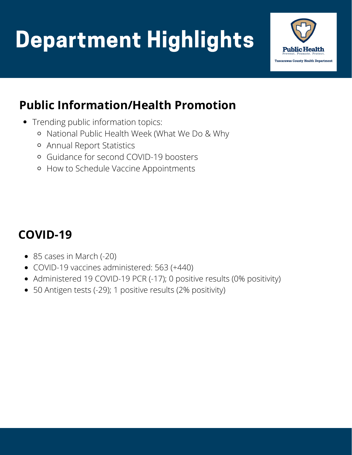# Department Highlights



#### **Public Information/Health Promotion**

- Trending public information topics:
	- National Public Health Week (What We Do & Why
	- Annual Report Statistics
	- Guidance for second COVID-19 boosters
	- o How to Schedule Vaccine Appointments

#### **COVID-19**

- 85 cases in March (-20)
- COVID-19 vaccines administered: 563 (+440)
- Administered 19 COVID-19 PCR (-17); 0 positive results (0% positivity)
- 50 Antigen tests (-29); 1 positive results (2% positivity)